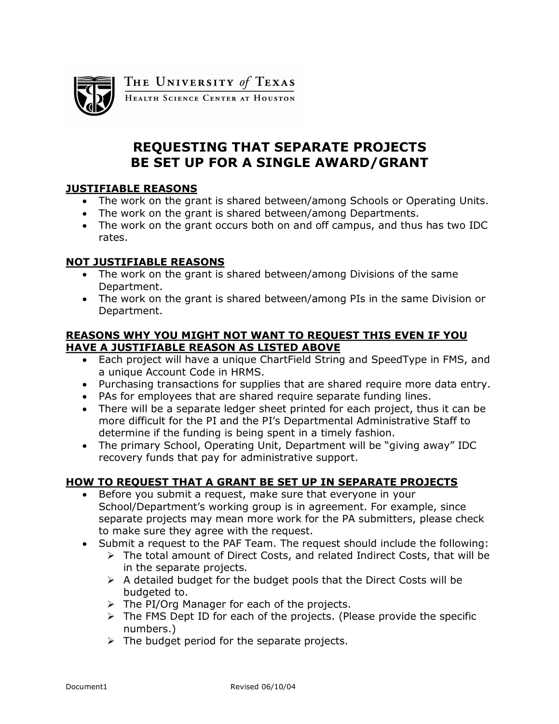

THE UNIVERSITY of TEXAS

HEALTH SCIENCE CENTER AT HOUSTON

# **REQUESTING THAT SEPARATE PROJECTS BE SET UP FOR A SINGLE AWARD/GRANT**

### **JUSTIFIABLE REASONS**

- · The work on the grant is shared between/among Schools or Operating Units.
- · The work on the grant is shared between/among Departments.
- · The work on the grant occurs both on and off campus, and thus has two IDC rates.

### **NOT JUSTIFIABLE REASONS**

- · The work on the grant is shared between/among Divisions of the same Department.
- · The work on the grant is shared between/among PIs in the same Division or Department.

#### **REASONS WHY YOU MIGHT NOT WANT TO REQUEST THIS EVEN IF YOU HAVE A JUSTIFIABLE REASON AS LISTED ABOVE**

- · Each project will have a unique ChartField String and SpeedType in FMS, and a unique Account Code in HRMS.
- · Purchasing transactions for supplies that are shared require more data entry.
- · PAs for employees that are shared require separate funding lines.
- · There will be a separate ledger sheet printed for each project, thus it can be more difficult for the PI and the PI's Departmental Administrative Staff to determine if the funding is being spent in a timely fashion.
- · The primary School, Operating Unit, Department will be "giving away" IDC recovery funds that pay for administrative support.

## **HOW TO REQUEST THAT A GRANT BE SET UP IN SEPARATE PROJECTS**

- · Before you submit a request, make sure that everyone in your School/Department's working group is in agreement. For example, since separate projects may mean more work for the PA submitters, please check to make sure they agree with the request.
- · Submit a request to the PAF Team. The request should include the following:
	- $\triangleright$  The total amount of Direct Costs, and related Indirect Costs, that will be in the separate projects.
	- $\triangleright$  A detailed budget for the budget pools that the Direct Costs will be budgeted to.
	- $\triangleright$  The PI/Org Manager for each of the projects.
	- $\triangleright$  The FMS Dept ID for each of the projects. (Please provide the specific numbers.)
	- $\triangleright$  The budget period for the separate projects.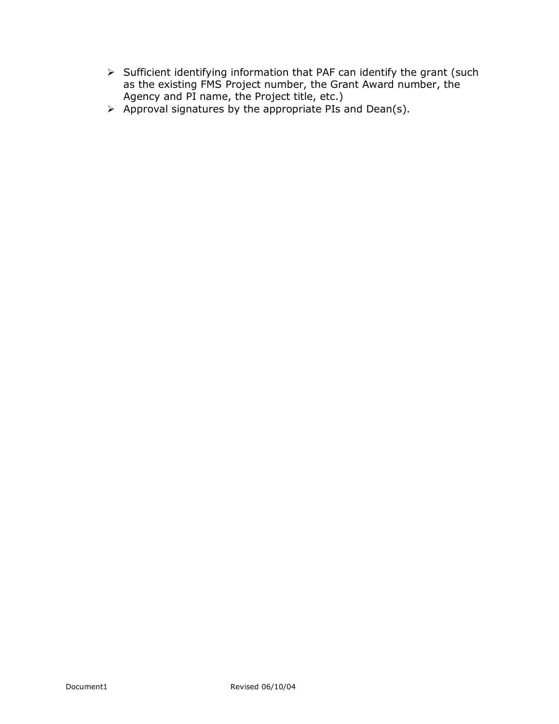- $\triangleright$  Sufficient identifying information that PAF can identify the grant (such as the existing FMS Project number, the Grant Award number, the Agency and PI name, the Project title, etc.)
- $\triangleright$  Approval signatures by the appropriate PIs and Dean(s).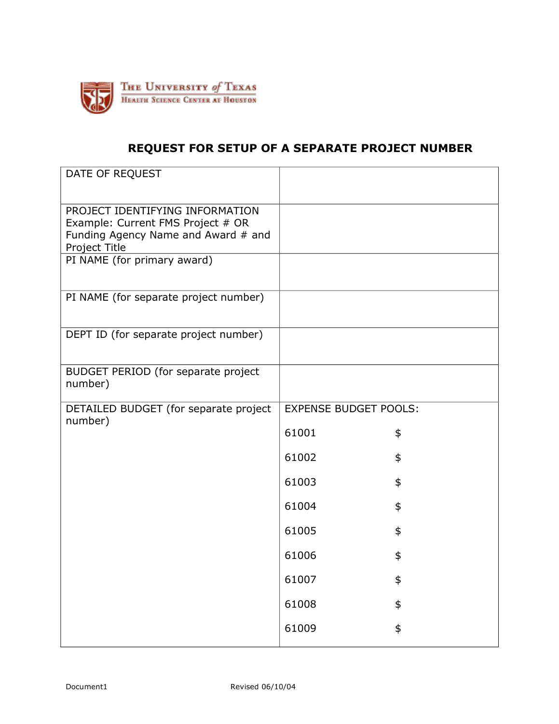

# **REQUEST FOR SETUP OF A SEPARATE PROJECT NUMBER**

| DATE OF REQUEST                                                                                                              |                              |    |
|------------------------------------------------------------------------------------------------------------------------------|------------------------------|----|
|                                                                                                                              |                              |    |
| PROJECT IDENTIFYING INFORMATION<br>Example: Current FMS Project # OR<br>Funding Agency Name and Award # and<br>Project Title |                              |    |
| PI NAME (for primary award)                                                                                                  |                              |    |
| PI NAME (for separate project number)                                                                                        |                              |    |
| DEPT ID (for separate project number)                                                                                        |                              |    |
| BUDGET PERIOD (for separate project<br>number)                                                                               |                              |    |
| DETAILED BUDGET (for separate project                                                                                        | <b>EXPENSE BUDGET POOLS:</b> |    |
| number)                                                                                                                      | 61001                        | \$ |
|                                                                                                                              | 61002                        | \$ |
|                                                                                                                              | 61003                        | \$ |
|                                                                                                                              | 61004                        | \$ |
|                                                                                                                              | 61005                        | \$ |
|                                                                                                                              | 61006                        | \$ |
|                                                                                                                              | 61007                        | \$ |
|                                                                                                                              | 61008                        | \$ |
|                                                                                                                              | 61009                        | \$ |